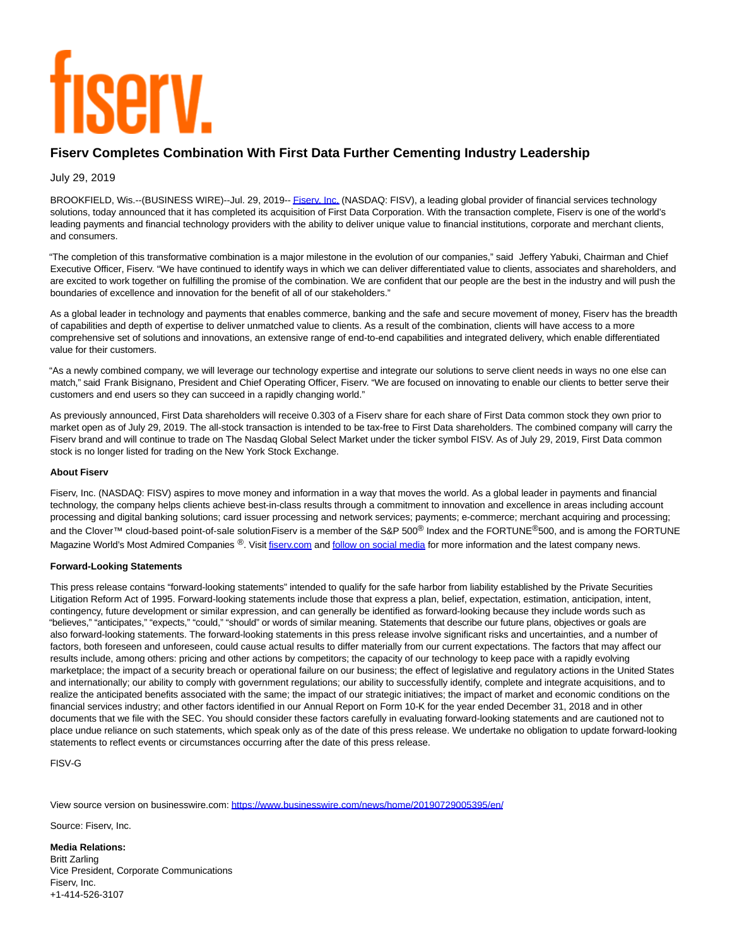# **TISETV.**

# **Fiserv Completes Combination With First Data Further Cementing Industry Leadership**

### July 29, 2019

BROOKFIELD, Wis.--(BUSINESS WIRE)--Jul. 29, 2019-- Fisery, Inc. (NASDAQ: FISV), a leading global provider of financial services technology solutions, today announced that it has completed its acquisition of First Data Corporation. With the transaction complete, Fiserv is one of the world's leading payments and financial technology providers with the ability to deliver unique value to financial institutions, corporate and merchant clients, and consumers.

"The completion of this transformative combination is a major milestone in the evolution of our companies," said Jeffery Yabuki, Chairman and Chief Executive Officer, Fiserv. "We have continued to identify ways in which we can deliver differentiated value to clients, associates and shareholders, and are excited to work together on fulfilling the promise of the combination. We are confident that our people are the best in the industry and will push the boundaries of excellence and innovation for the benefit of all of our stakeholders."

As a global leader in technology and payments that enables commerce, banking and the safe and secure movement of money, Fiserv has the breadth of capabilities and depth of expertise to deliver unmatched value to clients. As a result of the combination, clients will have access to a more comprehensive set of solutions and innovations, an extensive range of end-to-end capabilities and integrated delivery, which enable differentiated value for their customers.

"As a newly combined company, we will leverage our technology expertise and integrate our solutions to serve client needs in ways no one else can match," said Frank Bisignano, President and Chief Operating Officer, Fiserv. "We are focused on innovating to enable our clients to better serve their customers and end users so they can succeed in a rapidly changing world."

As previously announced, First Data shareholders will receive 0.303 of a Fiserv share for each share of First Data common stock they own prior to market open as of July 29, 2019. The all-stock transaction is intended to be tax-free to First Data shareholders. The combined company will carry the Fiserv brand and will continue to trade on The Nasdaq Global Select Market under the ticker symbol FISV. As of July 29, 2019, First Data common stock is no longer listed for trading on the New York Stock Exchange.

#### **About Fiserv**

Fiserv, Inc. (NASDAQ: FISV) aspires to move money and information in a way that moves the world. As a global leader in payments and financial technology, the company helps clients achieve best-in-class results through a commitment to innovation and excellence in areas including account processing and digital banking solutions; card issuer processing and network services; payments; e-commerce; merchant acquiring and processing; and the Clover™ cloud-based point-of-sale solutionFiserv is a member of the S&P 500<sup>®</sup> Index and the FORTUNE<sup>®</sup>500, and is among the FORTUNE Magazine World's Most Admired Companies ®. Visi[t fiserv.com a](https://cts.businesswire.com/ct/CT?id=smartlink&url=http%3A%2F%2Fwww.fiserv.com%2F&esheet=52020092&newsitemid=20190729005395&lan=en-US&anchor=fiserv.com&index=2&md5=06d6e69277c669fe12cb7d4587332ab2)n[d follow on social media f](https://cts.businesswire.com/ct/CT?id=smartlink&url=https%3A%2F%2Fwww.fiserv.com%2Fabout%2Fsocial-media.aspx&esheet=52020092&newsitemid=20190729005395&lan=en-US&anchor=follow+on+social+media&index=3&md5=a307294213850432d1fcf10198144c22)or more information and the latest company news.

#### **Forward-Looking Statements**

This press release contains "forward-looking statements" intended to qualify for the safe harbor from liability established by the Private Securities Litigation Reform Act of 1995. Forward-looking statements include those that express a plan, belief, expectation, estimation, anticipation, intent, contingency, future development or similar expression, and can generally be identified as forward-looking because they include words such as "believes," "anticipates," "expects," "could," "should" or words of similar meaning. Statements that describe our future plans, objectives or goals are also forward-looking statements. The forward-looking statements in this press release involve significant risks and uncertainties, and a number of factors, both foreseen and unforeseen, could cause actual results to differ materially from our current expectations. The factors that may affect our results include, among others: pricing and other actions by competitors; the capacity of our technology to keep pace with a rapidly evolving marketplace; the impact of a security breach or operational failure on our business; the effect of legislative and regulatory actions in the United States and internationally; our ability to comply with government regulations; our ability to successfully identify, complete and integrate acquisitions, and to realize the anticipated benefits associated with the same; the impact of our strategic initiatives; the impact of market and economic conditions on the financial services industry; and other factors identified in our Annual Report on Form 10-K for the year ended December 31, 2018 and in other documents that we file with the SEC. You should consider these factors carefully in evaluating forward-looking statements and are cautioned not to place undue reliance on such statements, which speak only as of the date of this press release. We undertake no obligation to update forward-looking statements to reflect events or circumstances occurring after the date of this press release.

FISV-G

View source version on businesswire.com:<https://www.businesswire.com/news/home/20190729005395/en/>

Source: Fiserv, Inc.

**Media Relations:** Britt Zarling Vice President, Corporate Communications Fiserv, Inc. +1-414-526-3107